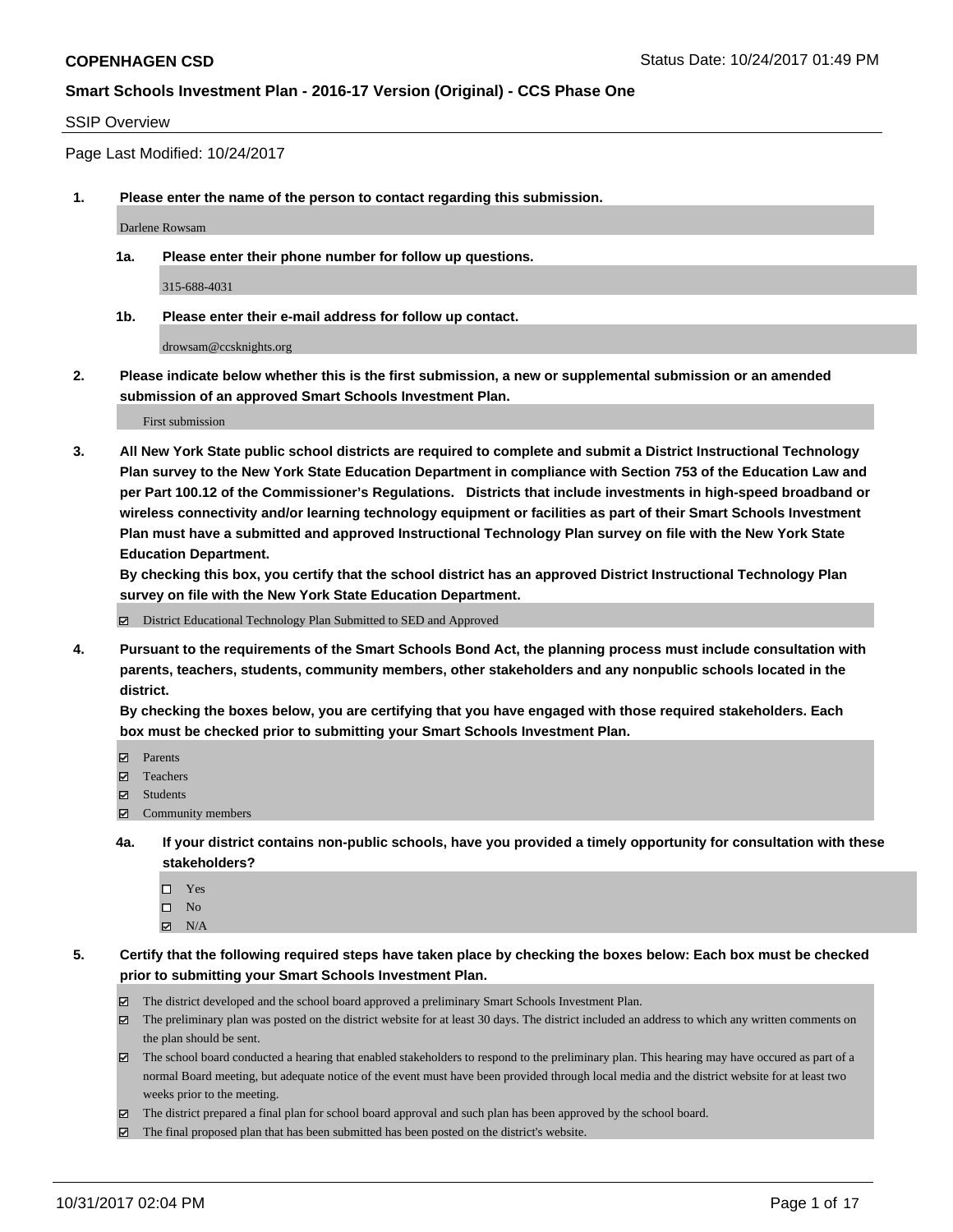#### SSIP Overview

Page Last Modified: 10/24/2017

**1. Please enter the name of the person to contact regarding this submission.**

Darlene Rowsam

**1a. Please enter their phone number for follow up questions.**

315-688-4031

**1b. Please enter their e-mail address for follow up contact.**

drowsam@ccsknights.org

**2. Please indicate below whether this is the first submission, a new or supplemental submission or an amended submission of an approved Smart Schools Investment Plan.**

First submission

**3. All New York State public school districts are required to complete and submit a District Instructional Technology Plan survey to the New York State Education Department in compliance with Section 753 of the Education Law and per Part 100.12 of the Commissioner's Regulations. Districts that include investments in high-speed broadband or wireless connectivity and/or learning technology equipment or facilities as part of their Smart Schools Investment Plan must have a submitted and approved Instructional Technology Plan survey on file with the New York State Education Department.** 

**By checking this box, you certify that the school district has an approved District Instructional Technology Plan survey on file with the New York State Education Department.**

District Educational Technology Plan Submitted to SED and Approved

**4. Pursuant to the requirements of the Smart Schools Bond Act, the planning process must include consultation with parents, teachers, students, community members, other stakeholders and any nonpublic schools located in the district.** 

**By checking the boxes below, you are certifying that you have engaged with those required stakeholders. Each box must be checked prior to submitting your Smart Schools Investment Plan.**

- **Parents**
- Teachers
- Students
- $\Xi$  Community members
- **4a. If your district contains non-public schools, have you provided a timely opportunity for consultation with these stakeholders?**
	- □ Yes
	- $\square$  No
	- $\boxtimes$  N/A

**5. Certify that the following required steps have taken place by checking the boxes below: Each box must be checked prior to submitting your Smart Schools Investment Plan.**

- The district developed and the school board approved a preliminary Smart Schools Investment Plan.
- The preliminary plan was posted on the district website for at least 30 days. The district included an address to which any written comments on the plan should be sent.
- The school board conducted a hearing that enabled stakeholders to respond to the preliminary plan. This hearing may have occured as part of a normal Board meeting, but adequate notice of the event must have been provided through local media and the district website for at least two weeks prior to the meeting.
- The district prepared a final plan for school board approval and such plan has been approved by the school board.
- $\boxtimes$  The final proposed plan that has been submitted has been posted on the district's website.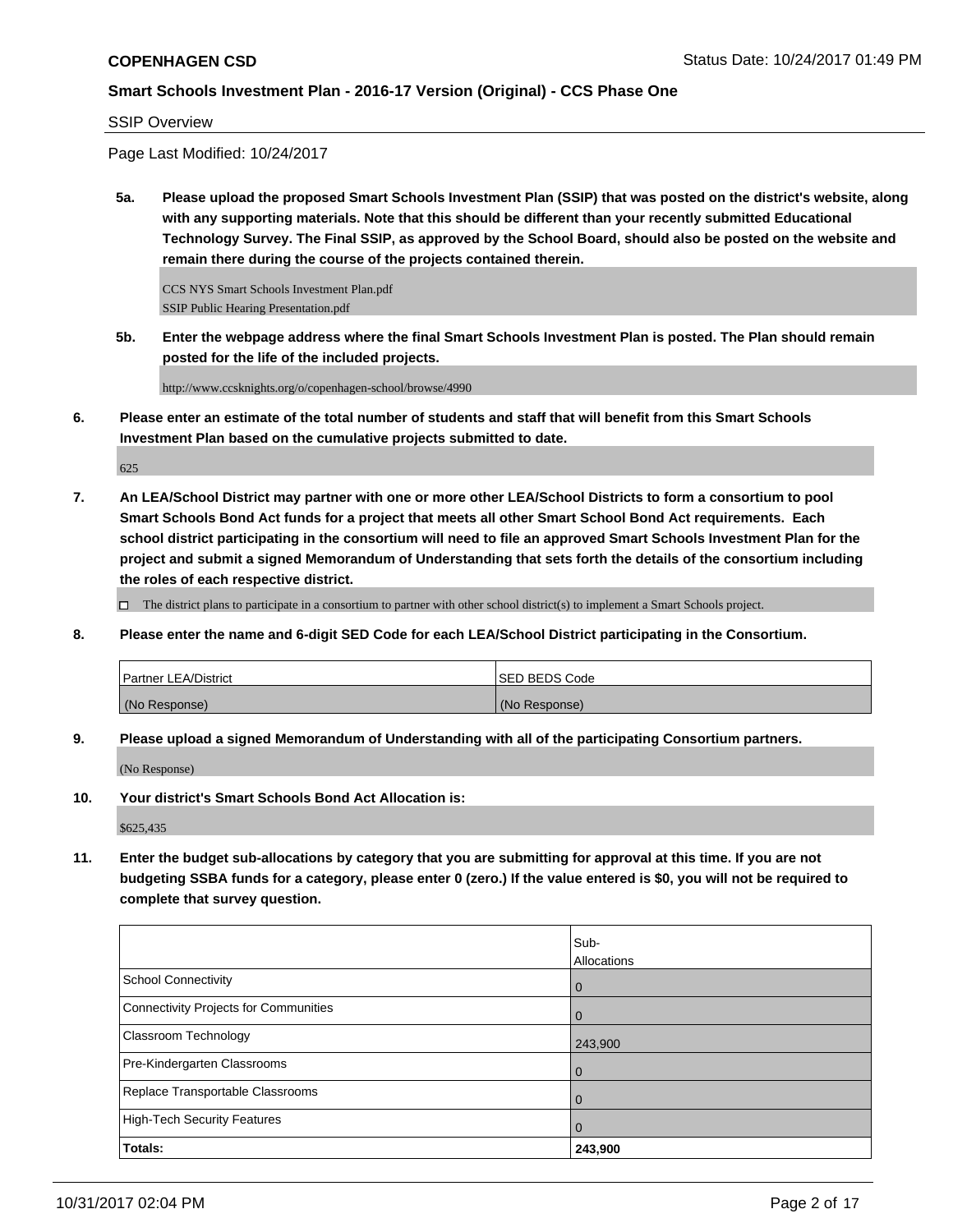## SSIP Overview

Page Last Modified: 10/24/2017

**5a. Please upload the proposed Smart Schools Investment Plan (SSIP) that was posted on the district's website, along with any supporting materials. Note that this should be different than your recently submitted Educational Technology Survey. The Final SSIP, as approved by the School Board, should also be posted on the website and remain there during the course of the projects contained therein.**

CCS NYS Smart Schools Investment Plan.pdf SSIP Public Hearing Presentation.pdf

**5b. Enter the webpage address where the final Smart Schools Investment Plan is posted. The Plan should remain posted for the life of the included projects.**

http://www.ccsknights.org/o/copenhagen-school/browse/4990

**6. Please enter an estimate of the total number of students and staff that will benefit from this Smart Schools Investment Plan based on the cumulative projects submitted to date.**

625

**7. An LEA/School District may partner with one or more other LEA/School Districts to form a consortium to pool Smart Schools Bond Act funds for a project that meets all other Smart School Bond Act requirements. Each school district participating in the consortium will need to file an approved Smart Schools Investment Plan for the project and submit a signed Memorandum of Understanding that sets forth the details of the consortium including the roles of each respective district.**

 $\Box$  The district plans to participate in a consortium to partner with other school district(s) to implement a Smart Schools project.

**8. Please enter the name and 6-digit SED Code for each LEA/School District participating in the Consortium.**

| <b>Partner LEA/District</b> | <b>ISED BEDS Code</b> |
|-----------------------------|-----------------------|
| (No Response)               | (No Response)         |

**9. Please upload a signed Memorandum of Understanding with all of the participating Consortium partners.**

(No Response)

**10. Your district's Smart Schools Bond Act Allocation is:**

\$625,435

**11. Enter the budget sub-allocations by category that you are submitting for approval at this time. If you are not budgeting SSBA funds for a category, please enter 0 (zero.) If the value entered is \$0, you will not be required to complete that survey question.**

|                                       | Sub-           |
|---------------------------------------|----------------|
|                                       | Allocations    |
| <b>School Connectivity</b>            | l 0            |
| Connectivity Projects for Communities | $\overline{0}$ |
| <b>Classroom Technology</b>           | 243,900        |
| Pre-Kindergarten Classrooms           | l O            |
| Replace Transportable Classrooms      | $\Omega$       |
| High-Tech Security Features           | $\overline{0}$ |
| Totals:                               | 243,900        |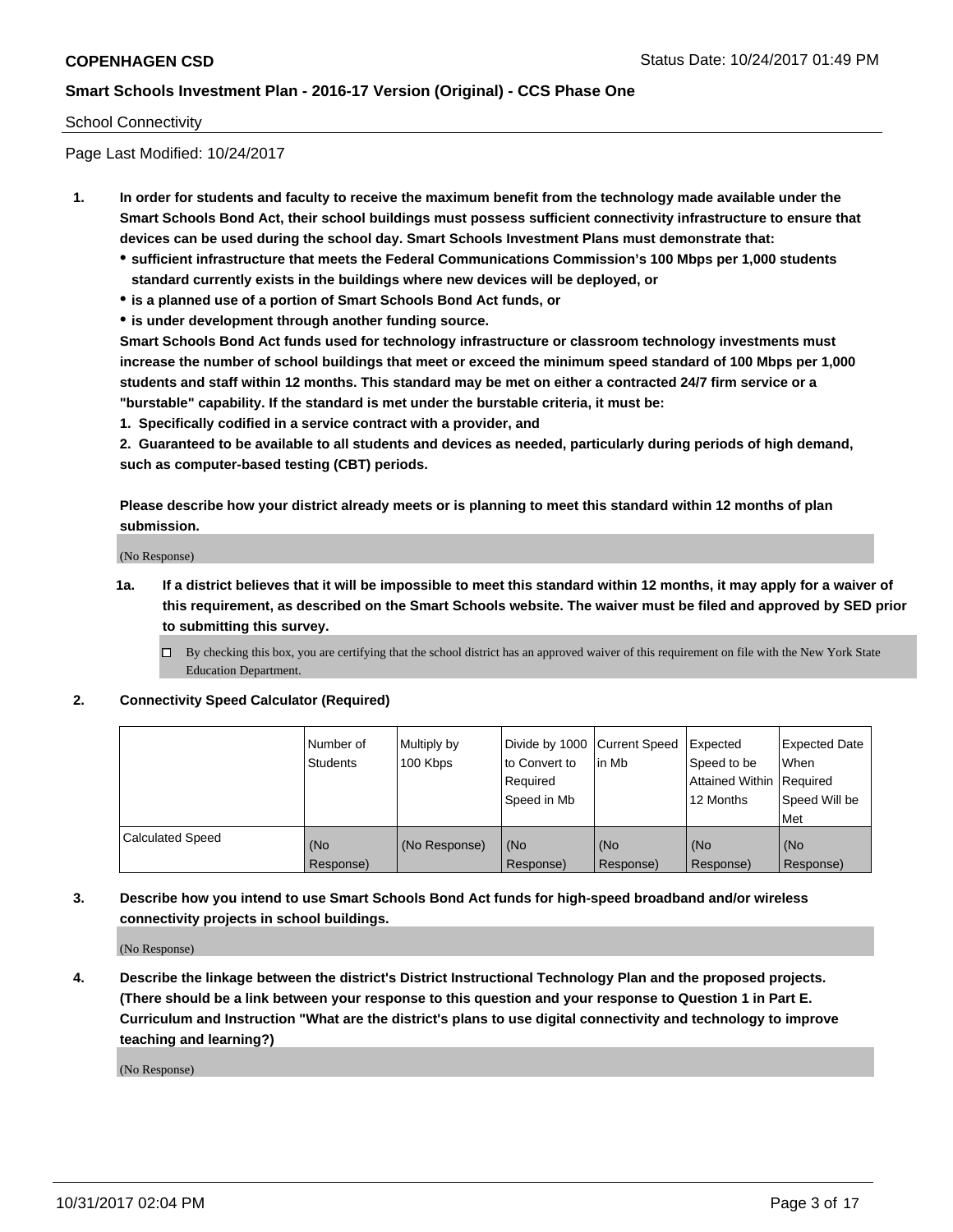#### School Connectivity

Page Last Modified: 10/24/2017

- **1. In order for students and faculty to receive the maximum benefit from the technology made available under the Smart Schools Bond Act, their school buildings must possess sufficient connectivity infrastructure to ensure that devices can be used during the school day. Smart Schools Investment Plans must demonstrate that:**
	- **sufficient infrastructure that meets the Federal Communications Commission's 100 Mbps per 1,000 students standard currently exists in the buildings where new devices will be deployed, or**
	- **is a planned use of a portion of Smart Schools Bond Act funds, or**
	- **is under development through another funding source.**

**Smart Schools Bond Act funds used for technology infrastructure or classroom technology investments must increase the number of school buildings that meet or exceed the minimum speed standard of 100 Mbps per 1,000 students and staff within 12 months. This standard may be met on either a contracted 24/7 firm service or a "burstable" capability. If the standard is met under the burstable criteria, it must be:**

**1. Specifically codified in a service contract with a provider, and**

**2. Guaranteed to be available to all students and devices as needed, particularly during periods of high demand, such as computer-based testing (CBT) periods.**

**Please describe how your district already meets or is planning to meet this standard within 12 months of plan submission.**

(No Response)

**1a. If a district believes that it will be impossible to meet this standard within 12 months, it may apply for a waiver of this requirement, as described on the Smart Schools website. The waiver must be filed and approved by SED prior to submitting this survey.**

**2. Connectivity Speed Calculator (Required)**

|                         | l Number of<br>Students | Multiply by<br>100 Kbps | Divide by 1000 Current Speed<br>to Convert to<br>Required<br>Speed in Mb | lin Mb           | Expected<br>Speed to be<br>Attained Within Required<br>12 Months | <b>Expected Date</b><br>When<br>Speed Will be<br>Met |
|-------------------------|-------------------------|-------------------------|--------------------------------------------------------------------------|------------------|------------------------------------------------------------------|------------------------------------------------------|
| <b>Calculated Speed</b> | (No<br>Response)        | (No Response)           | (No<br>Response)                                                         | (No<br>Response) | (No<br>Response)                                                 | (No<br>Response)                                     |

**3. Describe how you intend to use Smart Schools Bond Act funds for high-speed broadband and/or wireless connectivity projects in school buildings.**

(No Response)

**4. Describe the linkage between the district's District Instructional Technology Plan and the proposed projects. (There should be a link between your response to this question and your response to Question 1 in Part E. Curriculum and Instruction "What are the district's plans to use digital connectivity and technology to improve teaching and learning?)**

(No Response)

 $\Box$  By checking this box, you are certifying that the school district has an approved waiver of this requirement on file with the New York State Education Department.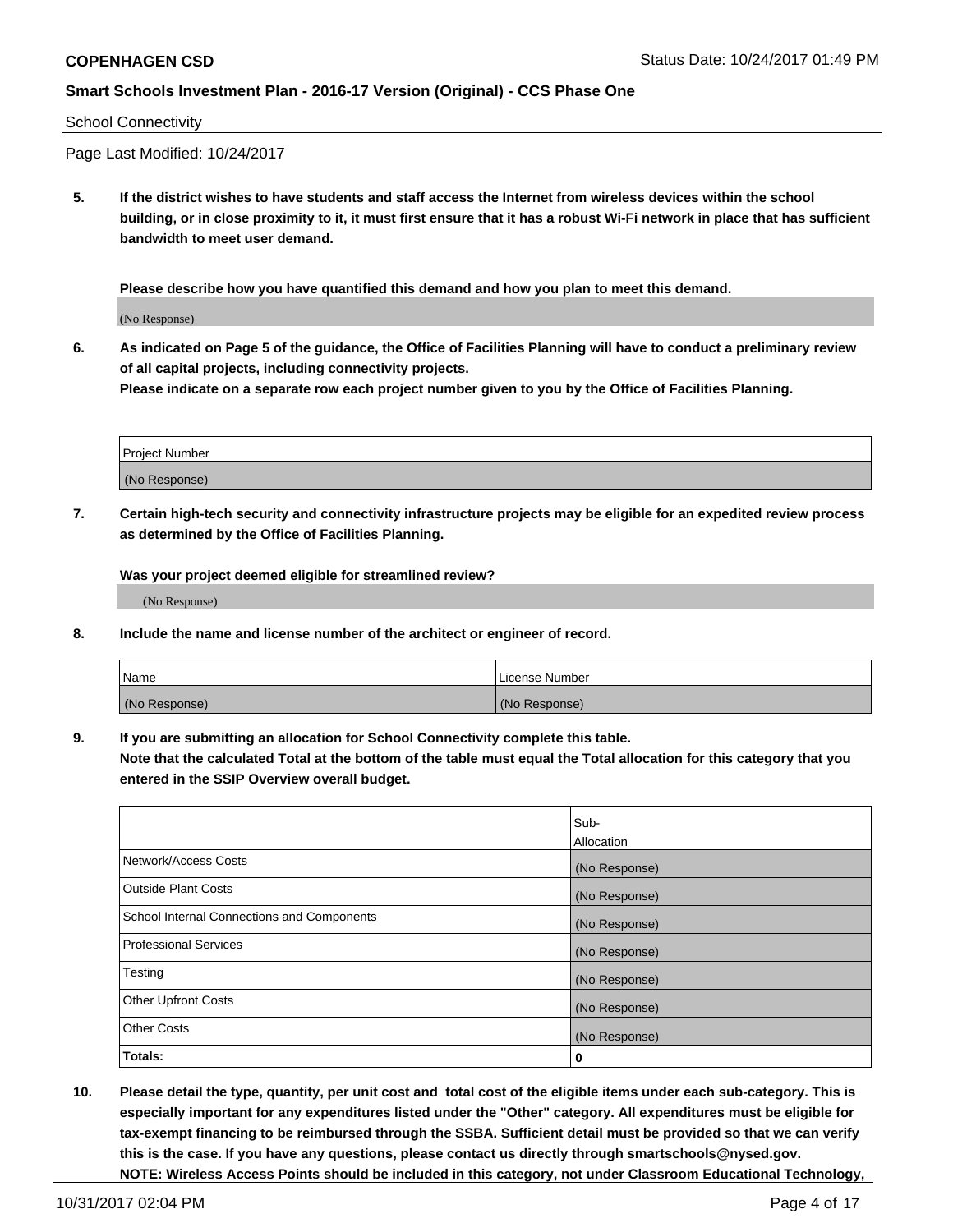#### School Connectivity

Page Last Modified: 10/24/2017

**5. If the district wishes to have students and staff access the Internet from wireless devices within the school building, or in close proximity to it, it must first ensure that it has a robust Wi-Fi network in place that has sufficient bandwidth to meet user demand.**

**Please describe how you have quantified this demand and how you plan to meet this demand.**

(No Response)

**6. As indicated on Page 5 of the guidance, the Office of Facilities Planning will have to conduct a preliminary review of all capital projects, including connectivity projects.**

**Please indicate on a separate row each project number given to you by the Office of Facilities Planning.**

| Project Number |  |
|----------------|--|
|                |  |
| (No Response)  |  |

**7. Certain high-tech security and connectivity infrastructure projects may be eligible for an expedited review process as determined by the Office of Facilities Planning.**

**Was your project deemed eligible for streamlined review?**

(No Response)

**8. Include the name and license number of the architect or engineer of record.**

| Name          | License Number |
|---------------|----------------|
| (No Response) | (No Response)  |

**9. If you are submitting an allocation for School Connectivity complete this table.**

**Note that the calculated Total at the bottom of the table must equal the Total allocation for this category that you entered in the SSIP Overview overall budget.** 

|                                            | Sub-          |
|--------------------------------------------|---------------|
|                                            | Allocation    |
| Network/Access Costs                       | (No Response) |
| <b>Outside Plant Costs</b>                 | (No Response) |
| School Internal Connections and Components | (No Response) |
| <b>Professional Services</b>               | (No Response) |
| Testing                                    | (No Response) |
| <b>Other Upfront Costs</b>                 | (No Response) |
| <b>Other Costs</b>                         | (No Response) |
| Totals:                                    | 0             |

**10. Please detail the type, quantity, per unit cost and total cost of the eligible items under each sub-category. This is especially important for any expenditures listed under the "Other" category. All expenditures must be eligible for tax-exempt financing to be reimbursed through the SSBA. Sufficient detail must be provided so that we can verify this is the case. If you have any questions, please contact us directly through smartschools@nysed.gov. NOTE: Wireless Access Points should be included in this category, not under Classroom Educational Technology,**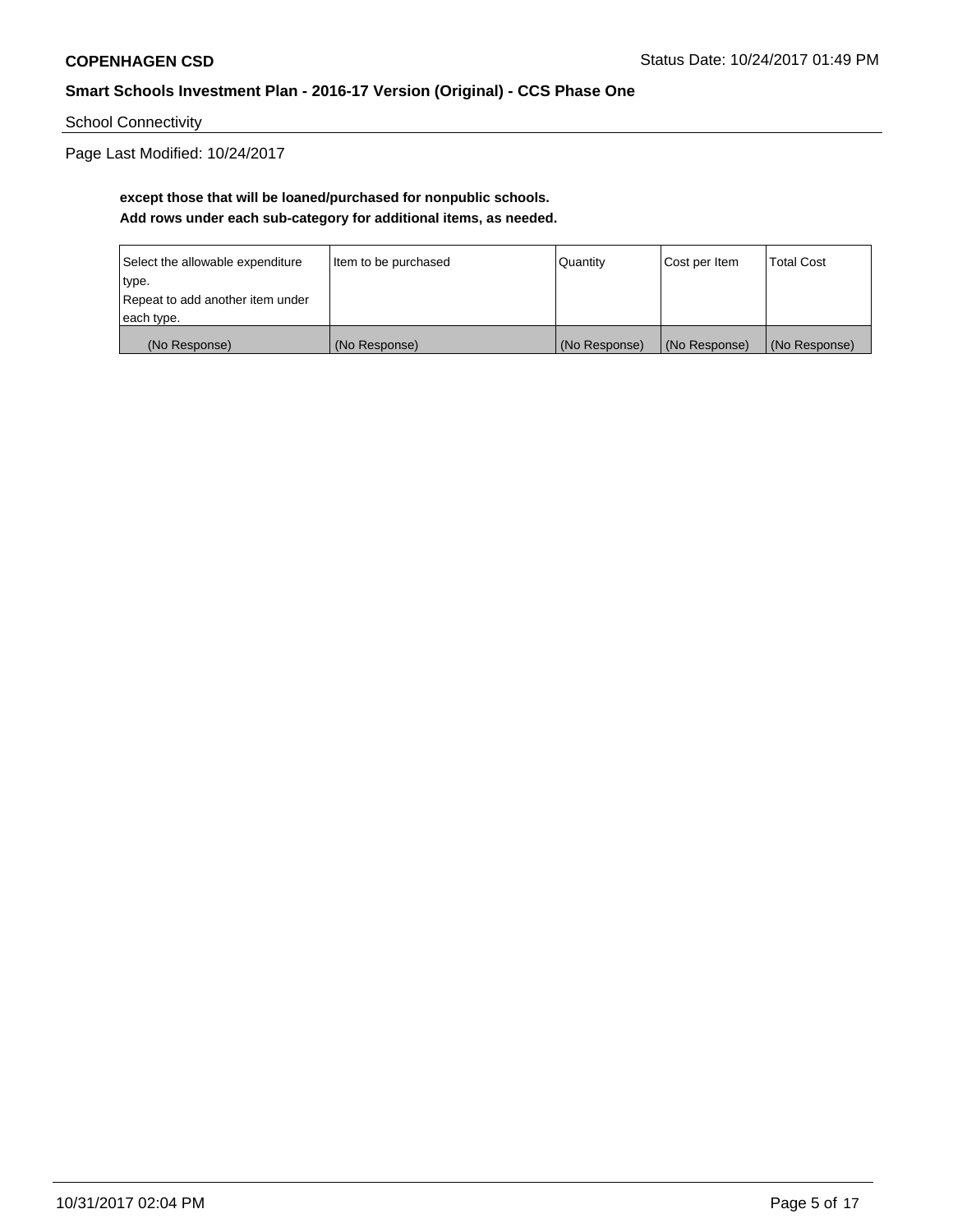School Connectivity

Page Last Modified: 10/24/2017

# **except those that will be loaned/purchased for nonpublic schools. Add rows under each sub-category for additional items, as needed.**

| Select the allowable expenditure | Item to be purchased | Quantity      | Cost per Item | <b>Total Cost</b> |
|----------------------------------|----------------------|---------------|---------------|-------------------|
| type.                            |                      |               |               |                   |
| Repeat to add another item under |                      |               |               |                   |
| each type.                       |                      |               |               |                   |
| (No Response)                    | (No Response)        | (No Response) | (No Response) | (No Response)     |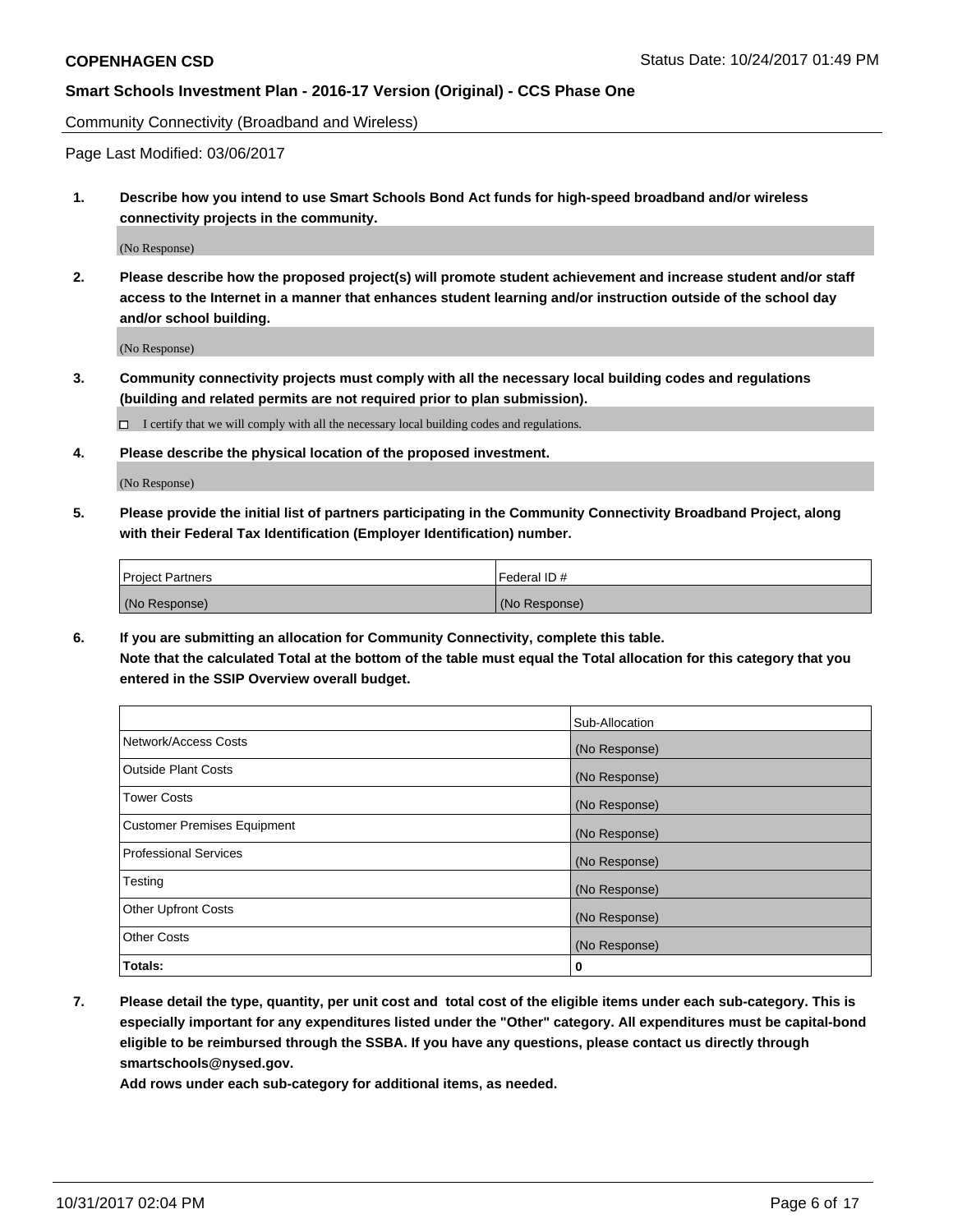Community Connectivity (Broadband and Wireless)

Page Last Modified: 03/06/2017

**1. Describe how you intend to use Smart Schools Bond Act funds for high-speed broadband and/or wireless connectivity projects in the community.**

(No Response)

**2. Please describe how the proposed project(s) will promote student achievement and increase student and/or staff access to the Internet in a manner that enhances student learning and/or instruction outside of the school day and/or school building.**

(No Response)

**3. Community connectivity projects must comply with all the necessary local building codes and regulations (building and related permits are not required prior to plan submission).**

 $\Box$  I certify that we will comply with all the necessary local building codes and regulations.

**4. Please describe the physical location of the proposed investment.**

(No Response)

**5. Please provide the initial list of partners participating in the Community Connectivity Broadband Project, along with their Federal Tax Identification (Employer Identification) number.**

| <b>Project Partners</b> | l Federal ID # |
|-------------------------|----------------|
| (No Response)           | (No Response)  |

**6. If you are submitting an allocation for Community Connectivity, complete this table. Note that the calculated Total at the bottom of the table must equal the Total allocation for this category that you entered in the SSIP Overview overall budget.**

|                                    | Sub-Allocation |
|------------------------------------|----------------|
| Network/Access Costs               | (No Response)  |
| <b>Outside Plant Costs</b>         | (No Response)  |
| <b>Tower Costs</b>                 | (No Response)  |
| <b>Customer Premises Equipment</b> | (No Response)  |
| <b>Professional Services</b>       | (No Response)  |
| Testing                            | (No Response)  |
| <b>Other Upfront Costs</b>         | (No Response)  |
| <b>Other Costs</b>                 | (No Response)  |
| Totals:                            | 0              |

**7. Please detail the type, quantity, per unit cost and total cost of the eligible items under each sub-category. This is especially important for any expenditures listed under the "Other" category. All expenditures must be capital-bond eligible to be reimbursed through the SSBA. If you have any questions, please contact us directly through smartschools@nysed.gov.**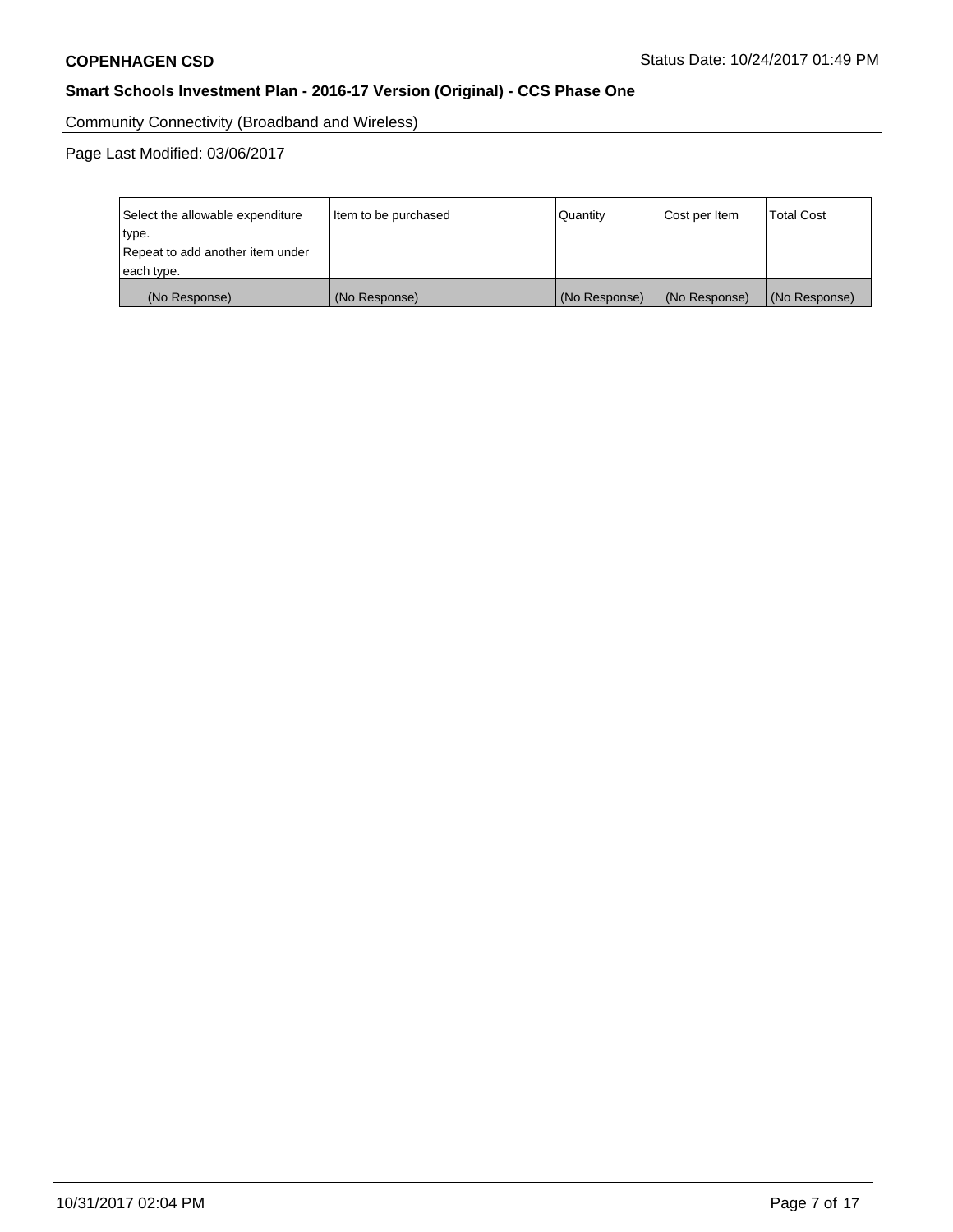Community Connectivity (Broadband and Wireless)

Page Last Modified: 03/06/2017

| Select the allowable expenditure<br>type.<br>Repeat to add another item under<br>each type. | Item to be purchased | Quantity      | Cost per Item | <b>Total Cost</b> |
|---------------------------------------------------------------------------------------------|----------------------|---------------|---------------|-------------------|
| (No Response)                                                                               | (No Response)        | (No Response) | (No Response) | (No Response)     |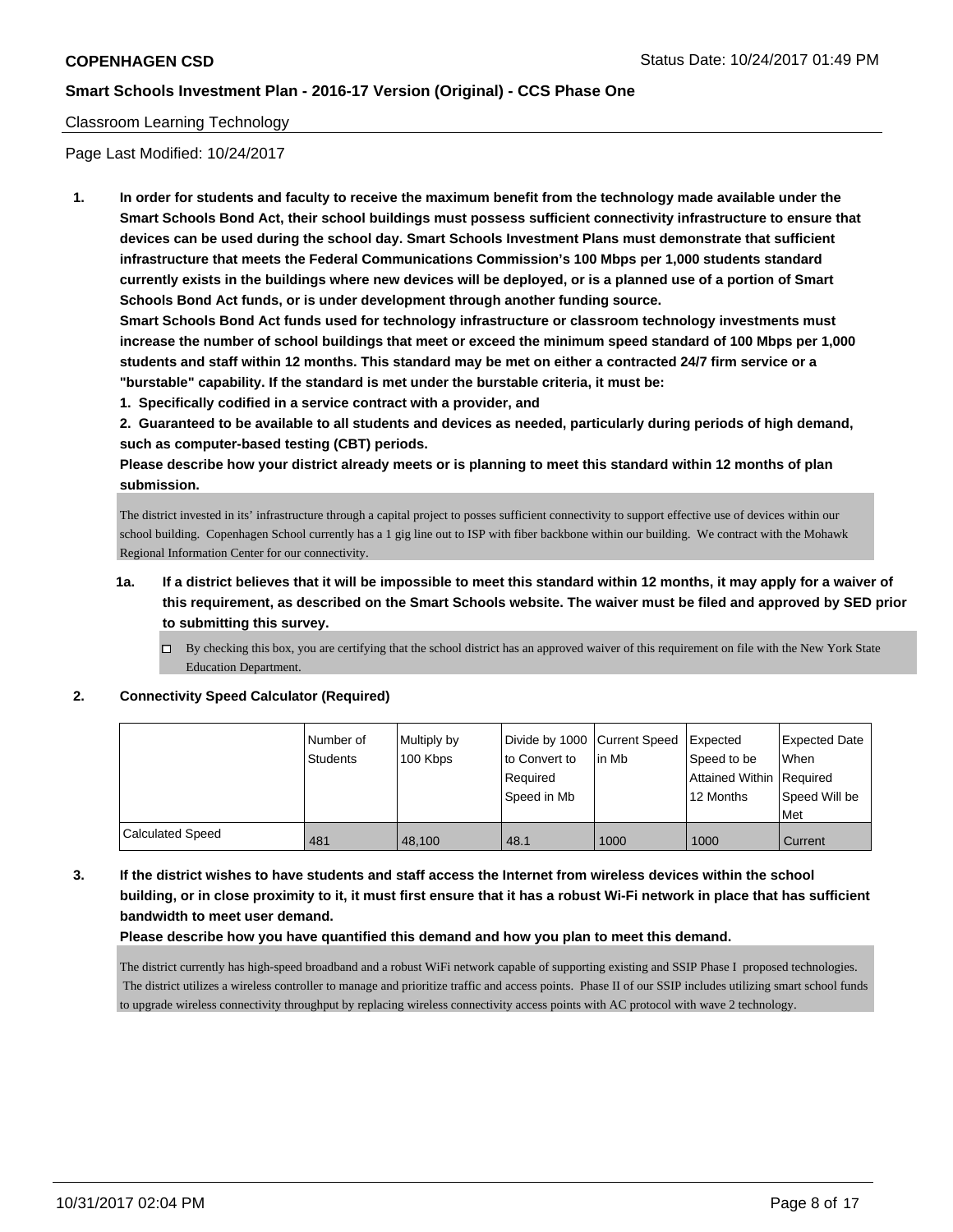## Classroom Learning Technology

Page Last Modified: 10/24/2017

**1. In order for students and faculty to receive the maximum benefit from the technology made available under the Smart Schools Bond Act, their school buildings must possess sufficient connectivity infrastructure to ensure that devices can be used during the school day. Smart Schools Investment Plans must demonstrate that sufficient infrastructure that meets the Federal Communications Commission's 100 Mbps per 1,000 students standard currently exists in the buildings where new devices will be deployed, or is a planned use of a portion of Smart Schools Bond Act funds, or is under development through another funding source.**

**Smart Schools Bond Act funds used for technology infrastructure or classroom technology investments must increase the number of school buildings that meet or exceed the minimum speed standard of 100 Mbps per 1,000 students and staff within 12 months. This standard may be met on either a contracted 24/7 firm service or a "burstable" capability. If the standard is met under the burstable criteria, it must be:**

**1. Specifically codified in a service contract with a provider, and**

**2. Guaranteed to be available to all students and devices as needed, particularly during periods of high demand, such as computer-based testing (CBT) periods.**

**Please describe how your district already meets or is planning to meet this standard within 12 months of plan submission.**

The district invested in its' infrastructure through a capital project to posses sufficient connectivity to support effective use of devices within our school building. Copenhagen School currently has a 1 gig line out to ISP with fiber backbone within our building. We contract with the Mohawk Regional Information Center for our connectivity.

# **1a. If a district believes that it will be impossible to meet this standard within 12 months, it may apply for a waiver of this requirement, as described on the Smart Schools website. The waiver must be filed and approved by SED prior to submitting this survey.**

 $\Box$  By checking this box, you are certifying that the school district has an approved waiver of this requirement on file with the New York State Education Department.

#### **2. Connectivity Speed Calculator (Required)**

|                  | l Number of<br>Students | Multiply by<br>100 Kbps | to Convert to           | Divide by 1000 Current Speed Expected<br>l in Mb | Speed to be                           | Expected Date<br>When |
|------------------|-------------------------|-------------------------|-------------------------|--------------------------------------------------|---------------------------------------|-----------------------|
|                  |                         |                         | Reauired<br>Speed in Mb |                                                  | Attained Within Required<br>12 Months | Speed Will be         |
|                  |                         |                         |                         |                                                  |                                       | Met                   |
| Calculated Speed | 481                     | 48.100                  | 48.1                    | 1000                                             | 1000                                  | Current               |

**3. If the district wishes to have students and staff access the Internet from wireless devices within the school building, or in close proximity to it, it must first ensure that it has a robust Wi-Fi network in place that has sufficient bandwidth to meet user demand.**

#### **Please describe how you have quantified this demand and how you plan to meet this demand.**

The district currently has high-speed broadband and a robust WiFi network capable of supporting existing and SSIP Phase I proposed technologies. The district utilizes a wireless controller to manage and prioritize traffic and access points. Phase II of our SSIP includes utilizing smart school funds to upgrade wireless connectivity throughput by replacing wireless connectivity access points with AC protocol with wave 2 technology.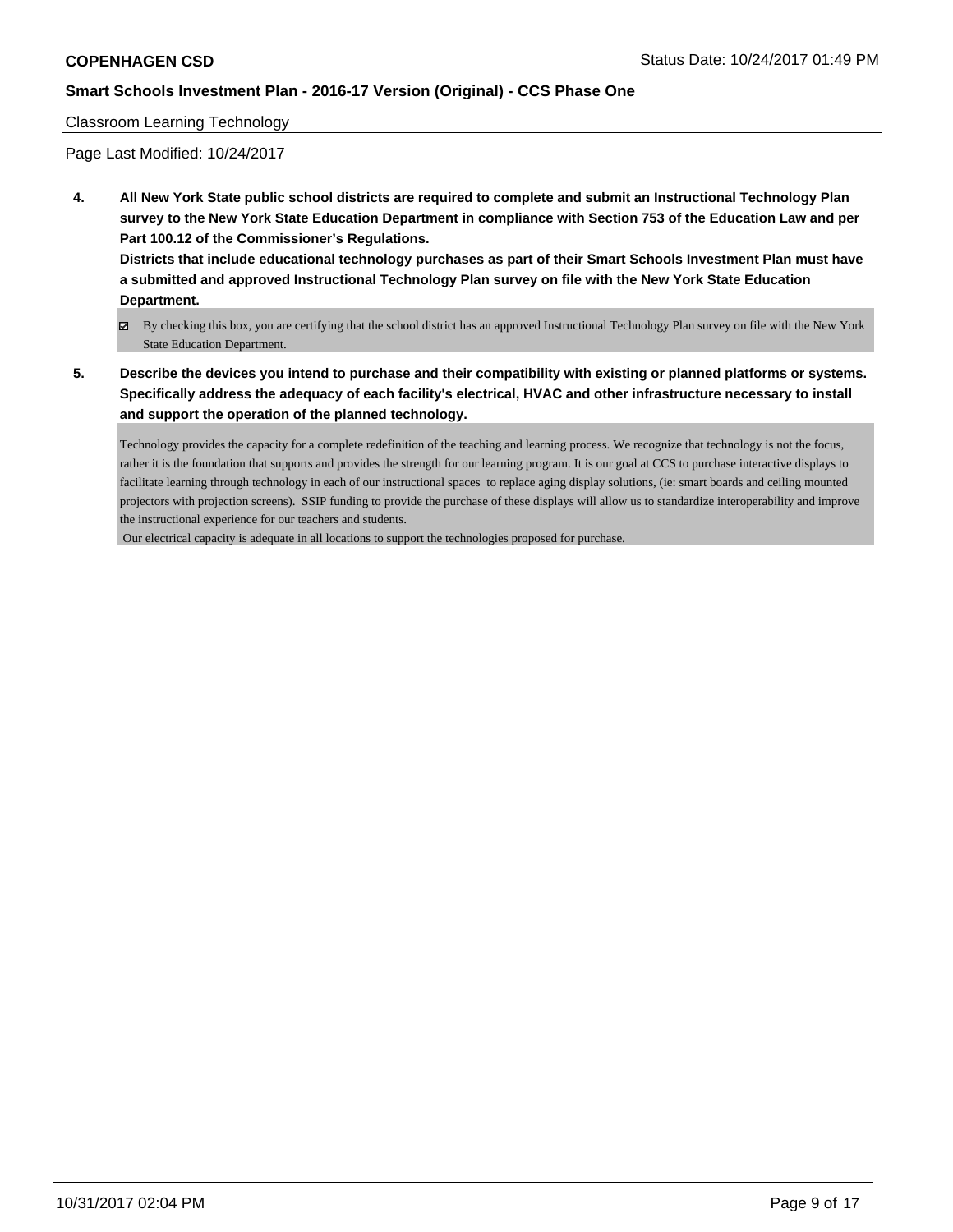#### Classroom Learning Technology

Page Last Modified: 10/24/2017

**4. All New York State public school districts are required to complete and submit an Instructional Technology Plan survey to the New York State Education Department in compliance with Section 753 of the Education Law and per Part 100.12 of the Commissioner's Regulations.**

**Districts that include educational technology purchases as part of their Smart Schools Investment Plan must have a submitted and approved Instructional Technology Plan survey on file with the New York State Education Department.**

- By checking this box, you are certifying that the school district has an approved Instructional Technology Plan survey on file with the New York State Education Department.
- **5. Describe the devices you intend to purchase and their compatibility with existing or planned platforms or systems. Specifically address the adequacy of each facility's electrical, HVAC and other infrastructure necessary to install and support the operation of the planned technology.**

Technology provides the capacity for a complete redefinition of the teaching and learning process. We recognize that technology is not the focus, rather it is the foundation that supports and provides the strength for our learning program. It is our goal at CCS to purchase interactive displays to facilitate learning through technology in each of our instructional spaces to replace aging display solutions, (ie: smart boards and ceiling mounted projectors with projection screens). SSIP funding to provide the purchase of these displays will allow us to standardize interoperability and improve the instructional experience for our teachers and students.

Our electrical capacity is adequate in all locations to support the technologies proposed for purchase.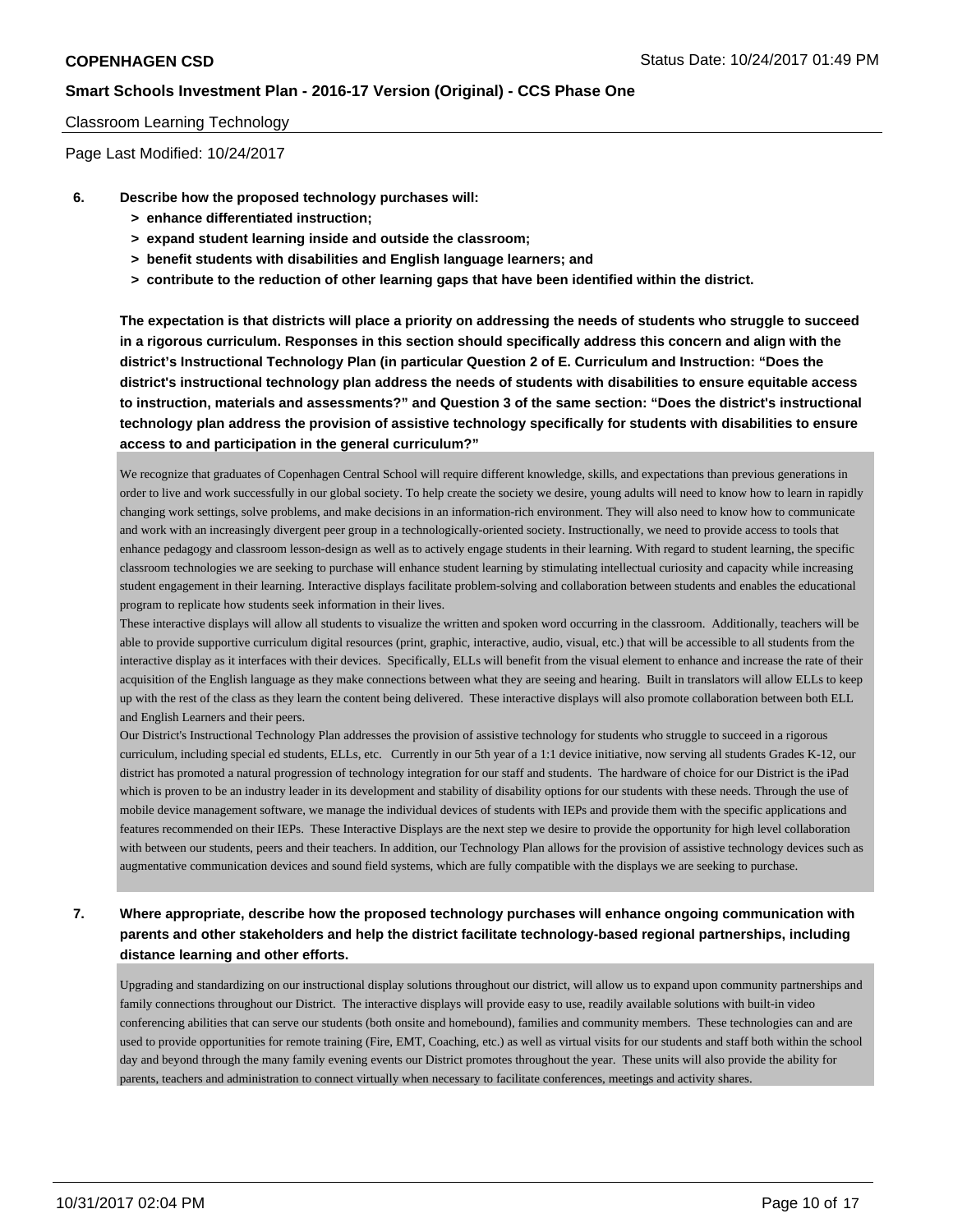#### Classroom Learning Technology

Page Last Modified: 10/24/2017

- **6. Describe how the proposed technology purchases will:**
	- **> enhance differentiated instruction;**
	- **> expand student learning inside and outside the classroom;**
	- **> benefit students with disabilities and English language learners; and**
	- **> contribute to the reduction of other learning gaps that have been identified within the district.**

**The expectation is that districts will place a priority on addressing the needs of students who struggle to succeed in a rigorous curriculum. Responses in this section should specifically address this concern and align with the district's Instructional Technology Plan (in particular Question 2 of E. Curriculum and Instruction: "Does the district's instructional technology plan address the needs of students with disabilities to ensure equitable access to instruction, materials and assessments?" and Question 3 of the same section: "Does the district's instructional technology plan address the provision of assistive technology specifically for students with disabilities to ensure access to and participation in the general curriculum?"**

We recognize that graduates of Copenhagen Central School will require different knowledge, skills, and expectations than previous generations in order to live and work successfully in our global society. To help create the society we desire, young adults will need to know how to learn in rapidly changing work settings, solve problems, and make decisions in an information-rich environment. They will also need to know how to communicate and work with an increasingly divergent peer group in a technologically-oriented society. Instructionally, we need to provide access to tools that enhance pedagogy and classroom lesson-design as well as to actively engage students in their learning. With regard to student learning, the specific classroom technologies we are seeking to purchase will enhance student learning by stimulating intellectual curiosity and capacity while increasing student engagement in their learning. Interactive displays facilitate problem-solving and collaboration between students and enables the educational program to replicate how students seek information in their lives.

These interactive displays will allow all students to visualize the written and spoken word occurring in the classroom. Additionally, teachers will be able to provide supportive curriculum digital resources (print, graphic, interactive, audio, visual, etc.) that will be accessible to all students from the interactive display as it interfaces with their devices. Specifically, ELLs will benefit from the visual element to enhance and increase the rate of their acquisition of the English language as they make connections between what they are seeing and hearing. Built in translators will allow ELLs to keep up with the rest of the class as they learn the content being delivered. These interactive displays will also promote collaboration between both ELL and English Learners and their peers.

Our District's Instructional Technology Plan addresses the provision of assistive technology for students who struggle to succeed in a rigorous curriculum, including special ed students, ELLs, etc. Currently in our 5th year of a 1:1 device initiative, now serving all students Grades K-12, our district has promoted a natural progression of technology integration for our staff and students. The hardware of choice for our District is the iPad which is proven to be an industry leader in its development and stability of disability options for our students with these needs. Through the use of mobile device management software, we manage the individual devices of students with IEPs and provide them with the specific applications and features recommended on their IEPs. These Interactive Displays are the next step we desire to provide the opportunity for high level collaboration with between our students, peers and their teachers. In addition, our Technology Plan allows for the provision of assistive technology devices such as augmentative communication devices and sound field systems, which are fully compatible with the displays we are seeking to purchase.

**7. Where appropriate, describe how the proposed technology purchases will enhance ongoing communication with parents and other stakeholders and help the district facilitate technology-based regional partnerships, including distance learning and other efforts.**

Upgrading and standardizing on our instructional display solutions throughout our district, will allow us to expand upon community partnerships and family connections throughout our District. The interactive displays will provide easy to use, readily available solutions with built-in video conferencing abilities that can serve our students (both onsite and homebound), families and community members. These technologies can and are used to provide opportunities for remote training (Fire, EMT, Coaching, etc.) as well as virtual visits for our students and staff both within the school day and beyond through the many family evening events our District promotes throughout the year. These units will also provide the ability for parents, teachers and administration to connect virtually when necessary to facilitate conferences, meetings and activity shares.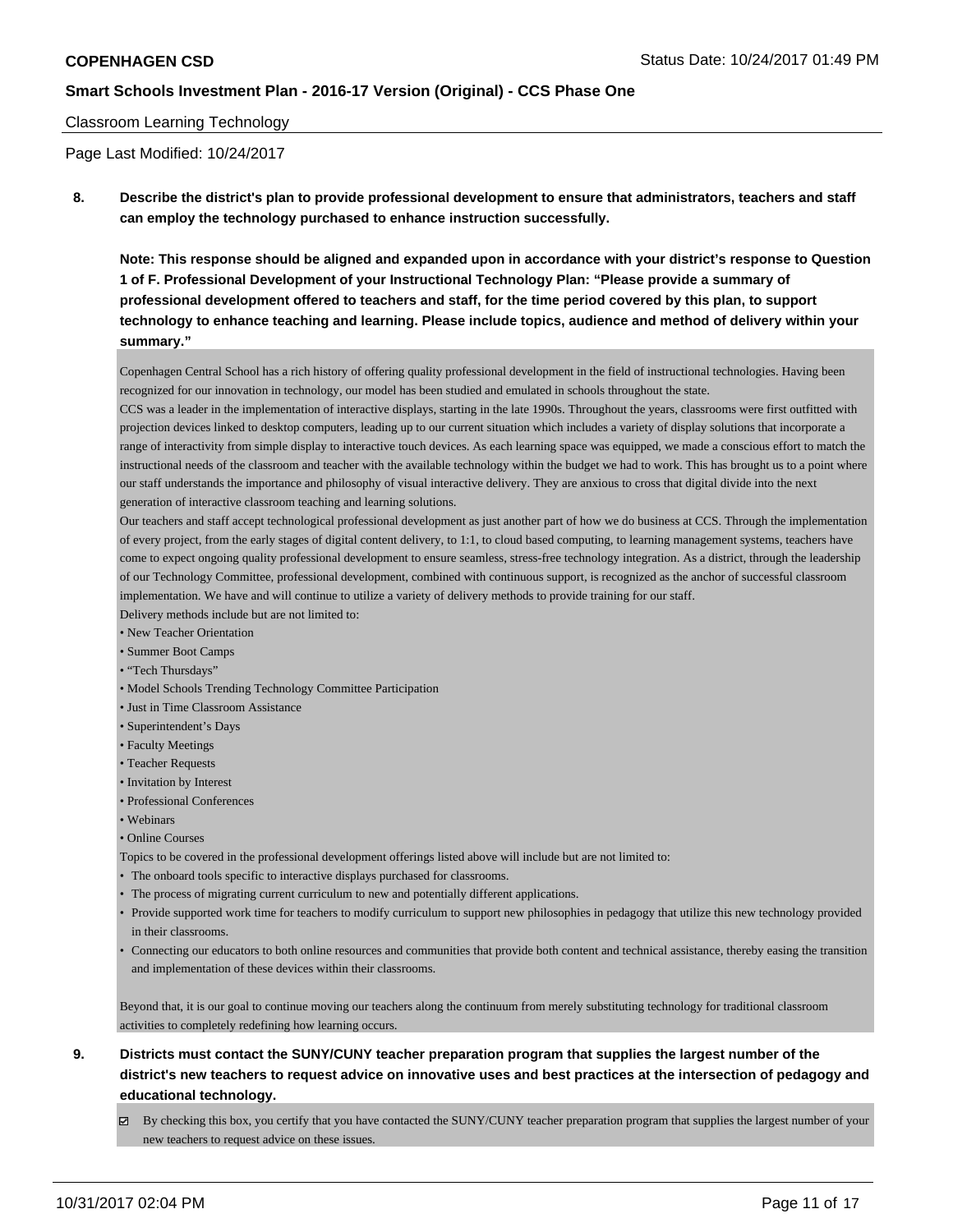#### Classroom Learning Technology

Page Last Modified: 10/24/2017

**8. Describe the district's plan to provide professional development to ensure that administrators, teachers and staff can employ the technology purchased to enhance instruction successfully.**

**Note: This response should be aligned and expanded upon in accordance with your district's response to Question 1 of F. Professional Development of your Instructional Technology Plan: "Please provide a summary of professional development offered to teachers and staff, for the time period covered by this plan, to support technology to enhance teaching and learning. Please include topics, audience and method of delivery within your summary."**

Copenhagen Central School has a rich history of offering quality professional development in the field of instructional technologies. Having been recognized for our innovation in technology, our model has been studied and emulated in schools throughout the state.

CCS was a leader in the implementation of interactive displays, starting in the late 1990s. Throughout the years, classrooms were first outfitted with projection devices linked to desktop computers, leading up to our current situation which includes a variety of display solutions that incorporate a range of interactivity from simple display to interactive touch devices. As each learning space was equipped, we made a conscious effort to match the instructional needs of the classroom and teacher with the available technology within the budget we had to work. This has brought us to a point where our staff understands the importance and philosophy of visual interactive delivery. They are anxious to cross that digital divide into the next generation of interactive classroom teaching and learning solutions.

Our teachers and staff accept technological professional development as just another part of how we do business at CCS. Through the implementation of every project, from the early stages of digital content delivery, to 1:1, to cloud based computing, to learning management systems, teachers have come to expect ongoing quality professional development to ensure seamless, stress-free technology integration. As a district, through the leadership of our Technology Committee, professional development, combined with continuous support, is recognized as the anchor of successful classroom implementation. We have and will continue to utilize a variety of delivery methods to provide training for our staff.

Delivery methods include but are not limited to:

- New Teacher Orientation
- Summer Boot Camps
- "Tech Thursdays"
- Model Schools Trending Technology Committee Participation
- Just in Time Classroom Assistance
- Superintendent's Days
- Faculty Meetings
- Teacher Requests
- Invitation by Interest
- Professional Conferences
- Webinars
- Online Courses

Topics to be covered in the professional development offerings listed above will include but are not limited to:

- The onboard tools specific to interactive displays purchased for classrooms.
- The process of migrating current curriculum to new and potentially different applications.
- Provide supported work time for teachers to modify curriculum to support new philosophies in pedagogy that utilize this new technology provided in their classrooms.
- Connecting our educators to both online resources and communities that provide both content and technical assistance, thereby easing the transition and implementation of these devices within their classrooms.

Beyond that, it is our goal to continue moving our teachers along the continuum from merely substituting technology for traditional classroom activities to completely redefining how learning occurs.

# **9. Districts must contact the SUNY/CUNY teacher preparation program that supplies the largest number of the district's new teachers to request advice on innovative uses and best practices at the intersection of pedagogy and educational technology.**

 $\boxtimes$  By checking this box, you certify that you have contacted the SUNY/CUNY teacher preparation program that supplies the largest number of your new teachers to request advice on these issues.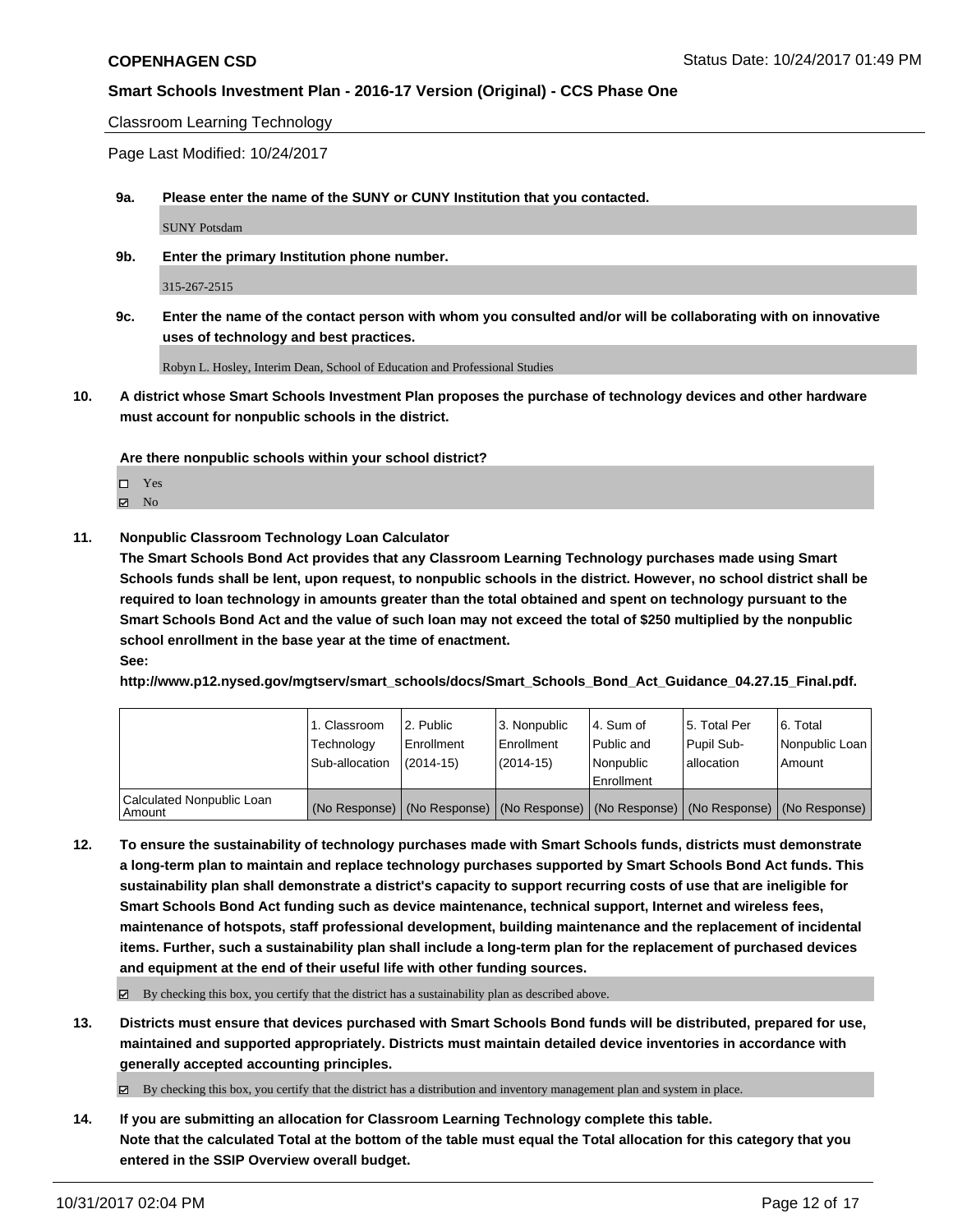Classroom Learning Technology

Page Last Modified: 10/24/2017

**9a. Please enter the name of the SUNY or CUNY Institution that you contacted.**

SUNY Potsdam

**9b. Enter the primary Institution phone number.**

315-267-2515

**9c. Enter the name of the contact person with whom you consulted and/or will be collaborating with on innovative uses of technology and best practices.**

Robyn L. Hosley, Interim Dean, School of Education and Professional Studies

**10. A district whose Smart Schools Investment Plan proposes the purchase of technology devices and other hardware must account for nonpublic schools in the district.**

**Are there nonpublic schools within your school district?**

Yes

 $\boxtimes$  No

#### **11. Nonpublic Classroom Technology Loan Calculator**

**The Smart Schools Bond Act provides that any Classroom Learning Technology purchases made using Smart Schools funds shall be lent, upon request, to nonpublic schools in the district. However, no school district shall be required to loan technology in amounts greater than the total obtained and spent on technology pursuant to the Smart Schools Bond Act and the value of such loan may not exceed the total of \$250 multiplied by the nonpublic school enrollment in the base year at the time of enactment. See:**

**http://www.p12.nysed.gov/mgtserv/smart\_schools/docs/Smart\_Schools\_Bond\_Act\_Guidance\_04.27.15\_Final.pdf.**

|                                       | 1. Classroom<br>Technology<br>Sub-allocation | l 2. Public<br>Enrollment<br>$(2014 - 15)$ | 3. Nonpublic<br>l Enrollment<br>$(2014-15)$ | l 4. Sum of<br>Public and<br>Nonpublic<br>Enrollment                                          | 15. Total Per<br>Pupil Sub-<br>lallocation | l 6. Total<br>Nonpublic Loan<br>Amount |
|---------------------------------------|----------------------------------------------|--------------------------------------------|---------------------------------------------|-----------------------------------------------------------------------------------------------|--------------------------------------------|----------------------------------------|
| Calculated Nonpublic Loan<br>l Amount |                                              |                                            |                                             | (No Response)   (No Response)   (No Response)   (No Response)   (No Response)   (No Response) |                                            |                                        |

**12. To ensure the sustainability of technology purchases made with Smart Schools funds, districts must demonstrate a long-term plan to maintain and replace technology purchases supported by Smart Schools Bond Act funds. This sustainability plan shall demonstrate a district's capacity to support recurring costs of use that are ineligible for Smart Schools Bond Act funding such as device maintenance, technical support, Internet and wireless fees, maintenance of hotspots, staff professional development, building maintenance and the replacement of incidental items. Further, such a sustainability plan shall include a long-term plan for the replacement of purchased devices and equipment at the end of their useful life with other funding sources.**

 $\boxtimes$  By checking this box, you certify that the district has a sustainability plan as described above.

**13. Districts must ensure that devices purchased with Smart Schools Bond funds will be distributed, prepared for use, maintained and supported appropriately. Districts must maintain detailed device inventories in accordance with generally accepted accounting principles.**

By checking this box, you certify that the district has a distribution and inventory management plan and system in place.

**14. If you are submitting an allocation for Classroom Learning Technology complete this table. Note that the calculated Total at the bottom of the table must equal the Total allocation for this category that you entered in the SSIP Overview overall budget.**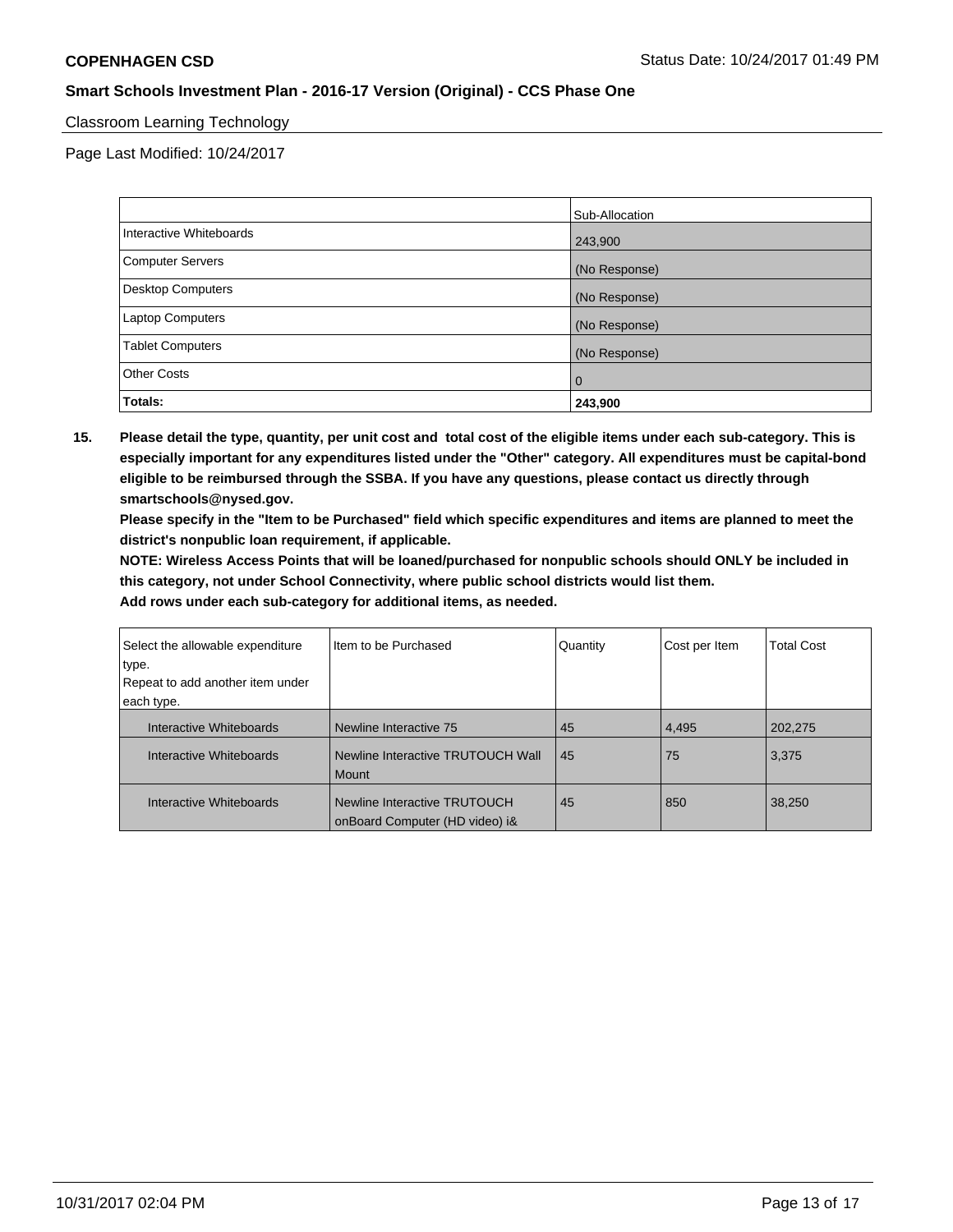# Classroom Learning Technology

Page Last Modified: 10/24/2017

|                         | Sub-Allocation |
|-------------------------|----------------|
| Interactive Whiteboards | 243,900        |
| Computer Servers        | (No Response)  |
| Desktop Computers       | (No Response)  |
| Laptop Computers        | (No Response)  |
| <b>Tablet Computers</b> | (No Response)  |
| <b>Other Costs</b>      | 0              |
| Totals:                 | 243,900        |

**15. Please detail the type, quantity, per unit cost and total cost of the eligible items under each sub-category. This is especially important for any expenditures listed under the "Other" category. All expenditures must be capital-bond eligible to be reimbursed through the SSBA. If you have any questions, please contact us directly through smartschools@nysed.gov.**

**Please specify in the "Item to be Purchased" field which specific expenditures and items are planned to meet the district's nonpublic loan requirement, if applicable.**

**NOTE: Wireless Access Points that will be loaned/purchased for nonpublic schools should ONLY be included in this category, not under School Connectivity, where public school districts would list them.**

| Select the allowable expenditure | Iltem to be Purchased                                          | Quantity | Cost per Item | <b>Total Cost</b> |
|----------------------------------|----------------------------------------------------------------|----------|---------------|-------------------|
| type.                            |                                                                |          |               |                   |
| Repeat to add another item under |                                                                |          |               |                   |
| each type.                       |                                                                |          |               |                   |
| Interactive Whiteboards          | Newline Interactive 75                                         | 45       | 4,495         | 202,275           |
| Interactive Whiteboards          | Newline Interactive TRUTOUCH Wall<br>Mount                     | 45       | 75            | 3,375             |
| Interactive Whiteboards          | Newline Interactive TRUTOUCH<br>onBoard Computer (HD video) i& | 45       | 850           | 38,250            |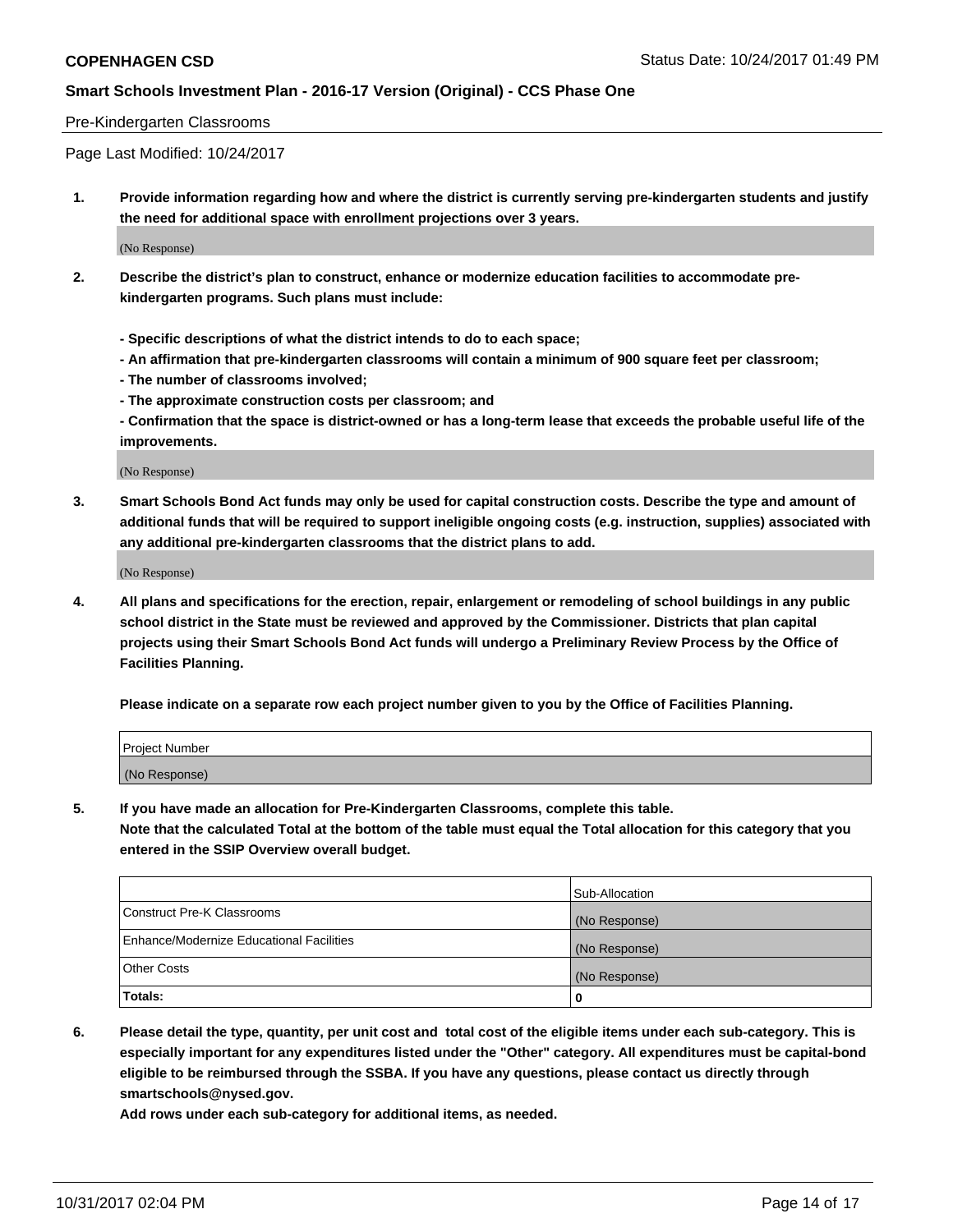#### Pre-Kindergarten Classrooms

Page Last Modified: 10/24/2017

**1. Provide information regarding how and where the district is currently serving pre-kindergarten students and justify the need for additional space with enrollment projections over 3 years.**

(No Response)

- **2. Describe the district's plan to construct, enhance or modernize education facilities to accommodate prekindergarten programs. Such plans must include:**
	- **Specific descriptions of what the district intends to do to each space;**
	- **An affirmation that pre-kindergarten classrooms will contain a minimum of 900 square feet per classroom;**
	- **The number of classrooms involved;**
	- **The approximate construction costs per classroom; and**

**- Confirmation that the space is district-owned or has a long-term lease that exceeds the probable useful life of the improvements.**

(No Response)

**3. Smart Schools Bond Act funds may only be used for capital construction costs. Describe the type and amount of additional funds that will be required to support ineligible ongoing costs (e.g. instruction, supplies) associated with any additional pre-kindergarten classrooms that the district plans to add.**

(No Response)

**4. All plans and specifications for the erection, repair, enlargement or remodeling of school buildings in any public school district in the State must be reviewed and approved by the Commissioner. Districts that plan capital projects using their Smart Schools Bond Act funds will undergo a Preliminary Review Process by the Office of Facilities Planning.**

**Please indicate on a separate row each project number given to you by the Office of Facilities Planning.**

| Project Number |  |
|----------------|--|
| (No Response)  |  |

**5. If you have made an allocation for Pre-Kindergarten Classrooms, complete this table.**

**Note that the calculated Total at the bottom of the table must equal the Total allocation for this category that you entered in the SSIP Overview overall budget.**

|                                          | Sub-Allocation |
|------------------------------------------|----------------|
| Construct Pre-K Classrooms               | (No Response)  |
| Enhance/Modernize Educational Facilities | (No Response)  |
| <b>Other Costs</b>                       | (No Response)  |
| <b>Totals:</b>                           | 0              |

**6. Please detail the type, quantity, per unit cost and total cost of the eligible items under each sub-category. This is especially important for any expenditures listed under the "Other" category. All expenditures must be capital-bond eligible to be reimbursed through the SSBA. If you have any questions, please contact us directly through smartschools@nysed.gov.**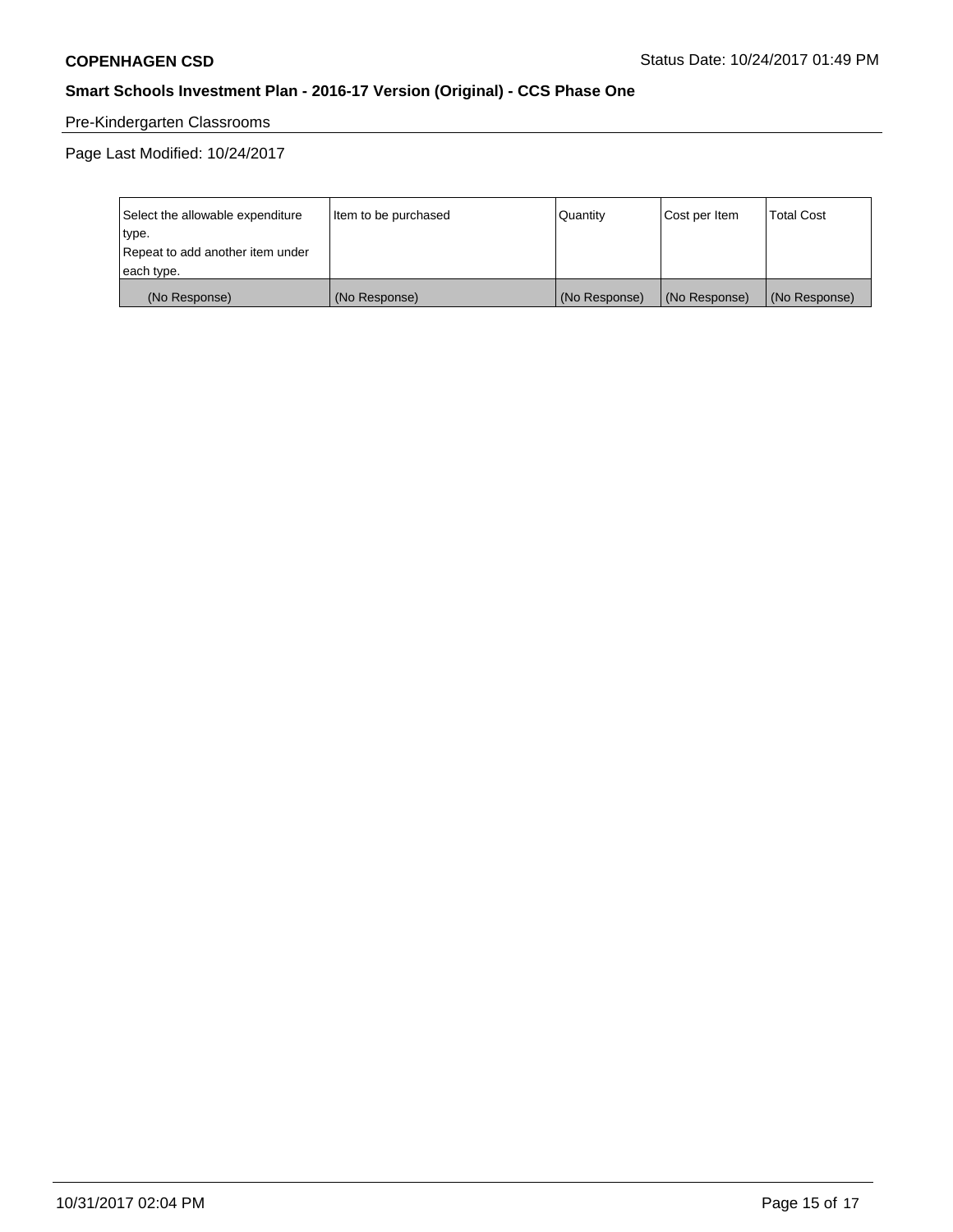# Pre-Kindergarten Classrooms

Page Last Modified: 10/24/2017

| Select the allowable expenditure | Item to be purchased | Quantity      | Cost per Item | <b>Total Cost</b> |
|----------------------------------|----------------------|---------------|---------------|-------------------|
| type.                            |                      |               |               |                   |
| Repeat to add another item under |                      |               |               |                   |
| each type.                       |                      |               |               |                   |
| (No Response)                    | (No Response)        | (No Response) | (No Response) | (No Response)     |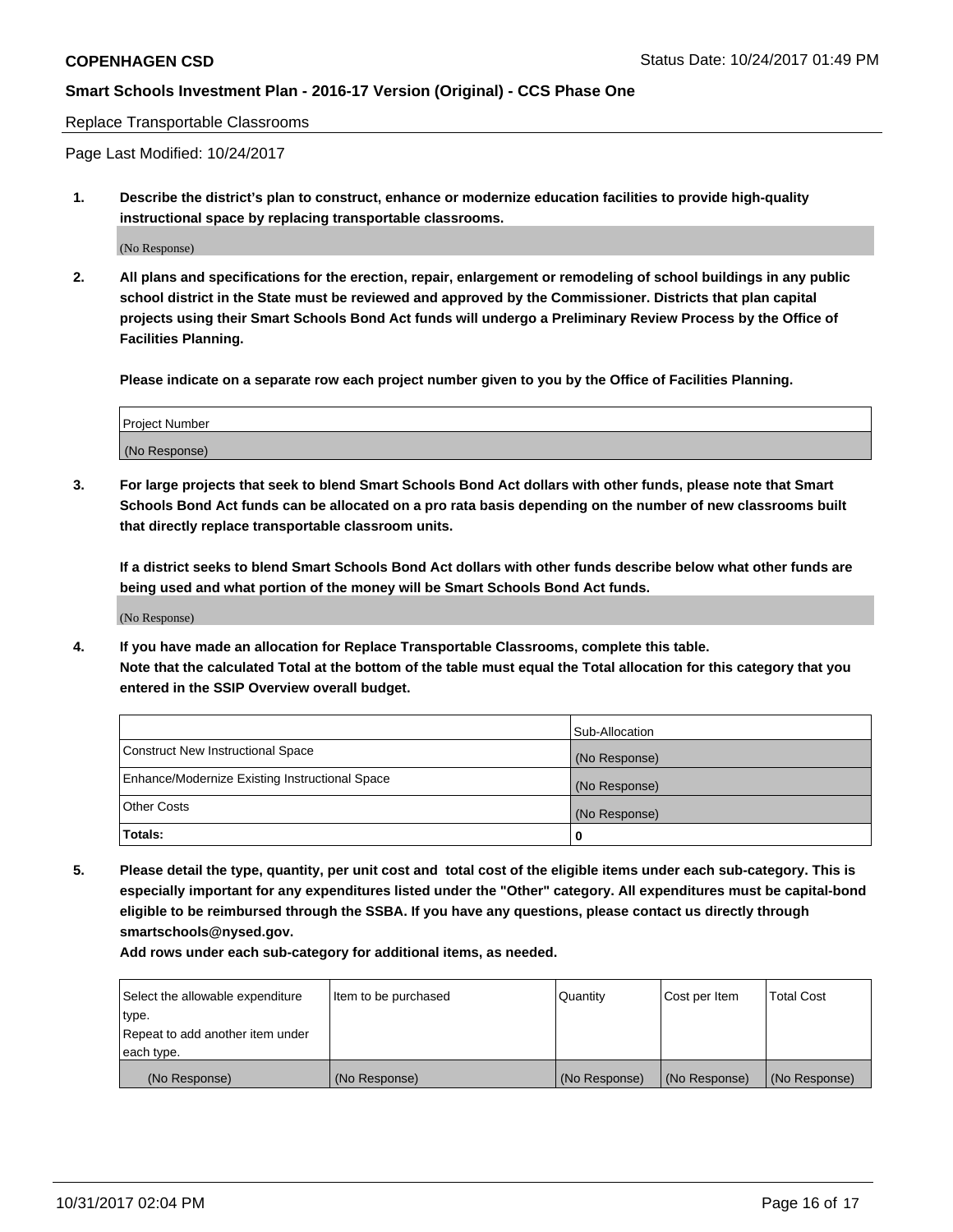Replace Transportable Classrooms

Page Last Modified: 10/24/2017

**1. Describe the district's plan to construct, enhance or modernize education facilities to provide high-quality instructional space by replacing transportable classrooms.**

(No Response)

**2. All plans and specifications for the erection, repair, enlargement or remodeling of school buildings in any public school district in the State must be reviewed and approved by the Commissioner. Districts that plan capital projects using their Smart Schools Bond Act funds will undergo a Preliminary Review Process by the Office of Facilities Planning.**

**Please indicate on a separate row each project number given to you by the Office of Facilities Planning.**

| <b>Project Number</b> |  |
|-----------------------|--|
| (No Response)         |  |

**3. For large projects that seek to blend Smart Schools Bond Act dollars with other funds, please note that Smart Schools Bond Act funds can be allocated on a pro rata basis depending on the number of new classrooms built that directly replace transportable classroom units.**

**If a district seeks to blend Smart Schools Bond Act dollars with other funds describe below what other funds are being used and what portion of the money will be Smart Schools Bond Act funds.**

(No Response)

**4. If you have made an allocation for Replace Transportable Classrooms, complete this table. Note that the calculated Total at the bottom of the table must equal the Total allocation for this category that you entered in the SSIP Overview overall budget.**

|                                                | Sub-Allocation |
|------------------------------------------------|----------------|
| Construct New Instructional Space              | (No Response)  |
| Enhance/Modernize Existing Instructional Space | (No Response)  |
| <b>Other Costs</b>                             | (No Response)  |
| Totals:                                        | 0              |

**5. Please detail the type, quantity, per unit cost and total cost of the eligible items under each sub-category. This is especially important for any expenditures listed under the "Other" category. All expenditures must be capital-bond eligible to be reimbursed through the SSBA. If you have any questions, please contact us directly through smartschools@nysed.gov.**

| Select the allowable expenditure<br>type.<br>Repeat to add another item under<br>each type. | Item to be purchased | Quantity      | Cost per Item | <b>Total Cost</b> |
|---------------------------------------------------------------------------------------------|----------------------|---------------|---------------|-------------------|
|                                                                                             |                      |               |               |                   |
| (No Response)                                                                               | (No Response)        | (No Response) | (No Response) | (No Response)     |